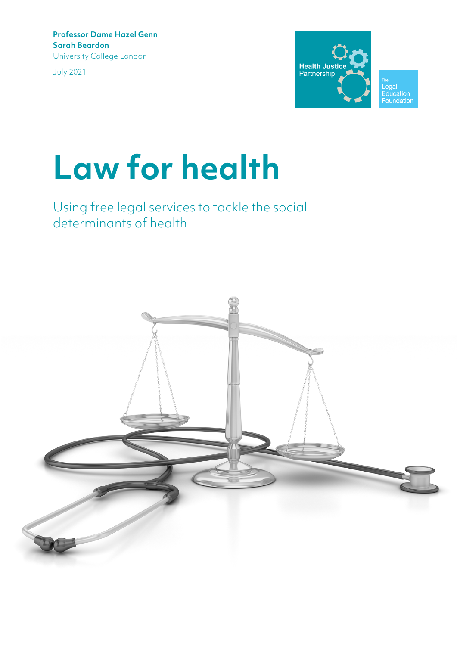**Professor Dame Hazel Genn Sarah Beardon** University College London

July 2021



# **Law for health**

# Using free legal services to tackle the social determinants of health

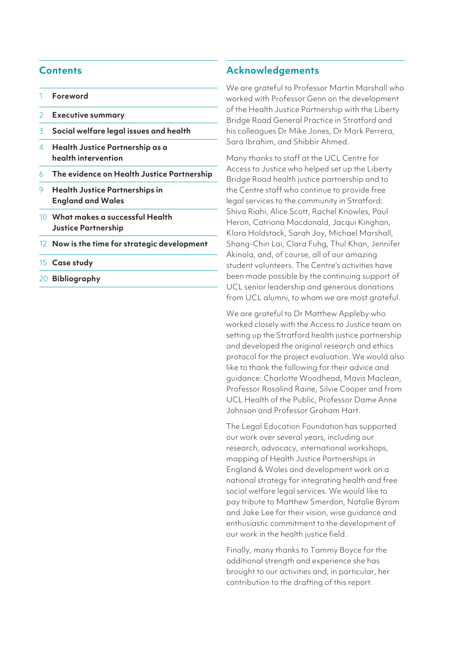## **Contents**

- 1 **Foreword**
- 2 **Executive summary**
- 3 **Social welfare legal issues and health**
- 4 **Health Justice Partnership as a health intervention**
- 6 **The evidence on Health Justice Partnership**
- 9 **Health Justice Partnerships in England and Wales**
- 10 **What makes a successful Health Justice Partnership**
- 12 **Now is the time for strategic development**
- 15 **Case study**
- 20 **Bibliography**

#### **Acknowledgements**

We are grateful to Professor Martin Marshall who worked with Professor Genn on the development of the Health Justice Partnership with the Liberty Bridge Road General Practice in Stratford and his colleagues Dr Mike Jones, Dr Mark Perrera, Sara Ibrahim, and Shibbir Ahmed.

Many thanks to staff at the UCL Centre for Access to Justice who helped set up the Liberty Bridge Road health justice partnership and to the Centre staff who continue to provide free legal services to the community in Stratford: Shiva Riahi, Alice Scott, Rachel Knowles, Paul Heron, Catriona Macdonald, Jacqui Kinghan, Klara Holdstock, Sarah Joy, Michael Marshall, Shang-Chin Lai, Clara Fuhg, Thul Khan, Jennifer Akinola, and, of course, all of our amazing student volunteers. The Centre's activities have been made possible by the continuing support of UCL senior leadership and generous donations from UCL alumni, to whom we are most grateful.

We are grateful to Dr Matthew Appleby who worked closely with the Access to Justice team on setting up the Stratford health justice partnership and developed the original research and ethics protocol for the project evaluation. We would also like to thank the following for their advice and guidance: Charlotte Woodhead, Mavis Maclean, Professor Rosalind Raine, Silvie Cooper and from UCL Health of the Public, Professor Dame Anne Johnson and Professor Graham Hart.

The Legal Education Foundation has supported our work over several years, including our research, advocacy, international workshops, mapping of Health Justice Partnerships in England & Wales and development work on a national strategy for integrating health and free social welfare legal services. We would like to pay tribute to Matthew Smerdon, Natalie Byrom and Jake Lee for their vision, wise guidance and enthusiastic commitment to the development of our work in the health justice field.

Finally, many thanks to Tammy Boyce for the additional strength and experience she has brought to our activities and, in particular, her contribution to the drafting of this report.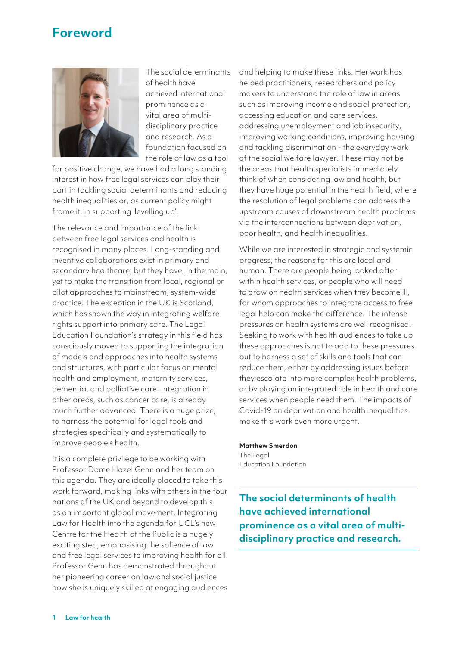# **Foreword**



The social determinants of health have achieved international prominence as a vital area of multidisciplinary practice and research. As a foundation focused on the role of law as a tool

for positive change, we have had a long standing interest in how free legal services can play their part in tackling social determinants and reducing health inequalities or, as current policy might frame it, in supporting 'levelling up'.

The relevance and importance of the link between free legal services and health is recognised in many places. Long-standing and inventive collaborations exist in primary and secondary healthcare, but they have, in the main, yet to make the transition from local, regional or pilot approaches to mainstream, system-wide practice. The exception in the UK is Scotland, which has shown the way in integrating welfare rights support into primary care. The Legal Education Foundation's strategy in this field has consciously moved to supporting the integration of models and approaches into health systems and structures, with particular focus on mental health and employment, maternity services, dementia, and palliative care. Integration in other areas, such as cancer care, is already much further advanced. There is a huge prize; to harness the potential for legal tools and strategies specifically and systematically to improve people's health.

It is a complete privilege to be working with Professor Dame Hazel Genn and her team on this agenda. They are ideally placed to take this work forward, making links with others in the four nations of the UK and beyond to develop this as an important global movement. Integrating Law for Health into the agenda for UCL's new Centre for the Health of the Public is a hugely exciting step, emphasising the salience of law and free legal services to improving health for all. Professor Genn has demonstrated throughout her pioneering career on law and social justice how she is uniquely skilled at engaging audiences and helping to make these links. Her work has helped practitioners, researchers and policy makers to understand the role of law in areas such as improving income and social protection, accessing education and care services, addressing unemployment and job insecurity, improving working conditions, improving housing and tackling discrimination - the everyday work of the social welfare lawyer. These may not be the areas that health specialists immediately think of when considering law and health, but they have huge potential in the health field, where the resolution of legal problems can address the upstream causes of downstream health problems via the interconnections between deprivation, poor health, and health inequalities.

While we are interested in strategic and systemic progress, the reasons for this are local and human. There are people being looked after within health services, or people who will need to draw on health services when they become ill, for whom approaches to integrate access to free legal help can make the difference. The intense pressures on health systems are well recognised. Seeking to work with health audiences to take up these approaches is not to add to these pressures but to harness a set of skills and tools that can reduce them, either by addressing issues before they escalate into more complex health problems, or by playing an integrated role in health and care services when people need them. The impacts of Covid-19 on deprivation and health inequalities make this work even more urgent.

#### **Matthew Smerdon**

The Legal Education Foundation

**The social determinants of health have achieved international prominence as a vital area of multidisciplinary practice and research.**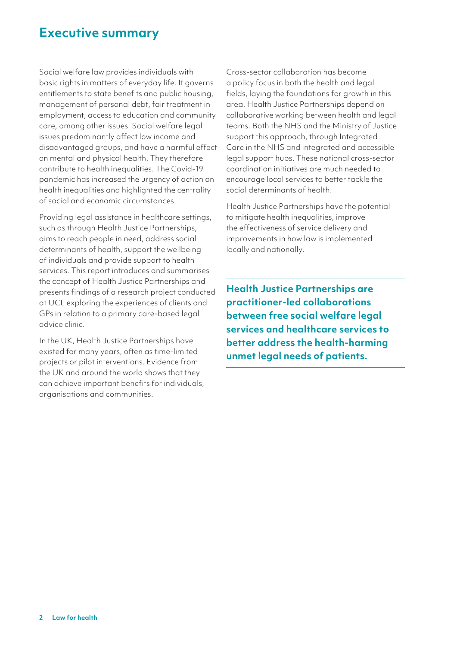# **Executive summary**

Social welfare law provides individuals with basic rights in matters of everyday life. It governs entitlements to state benefits and public housing, management of personal debt, fair treatment in employment, access to education and community care, among other issues. Social welfare legal issues predominantly affect low income and disadvantaged groups, and have a harmful effect on mental and physical health. They therefore contribute to health inequalities. The Covid-19 pandemic has increased the urgency of action on health inequalities and highlighted the centrality of social and economic circumstances.

Providing legal assistance in healthcare settings, such as through Health Justice Partnerships, aims to reach people in need, address social determinants of health, support the wellbeing of individuals and provide support to health services. This report introduces and summarises the concept of Health Justice Partnerships and presents findings of a research project conducted at UCL exploring the experiences of clients and GPs in relation to a primary care-based legal advice clinic.

In the UK, Health Justice Partnerships have existed for many years, often as time-limited projects or pilot interventions. Evidence from the UK and around the world shows that they can achieve important benefits for individuals, organisations and communities.

Cross-sector collaboration has become a policy focus in both the health and legal fields, laying the foundations for growth in this area. Health Justice Partnerships depend on collaborative working between health and legal teams. Both the NHS and the Ministry of Justice support this approach, through Integrated Care in the NHS and integrated and accessible legal support hubs. These national cross-sector coordination initiatives are much needed to encourage local services to better tackle the social determinants of health.

Health Justice Partnerships have the potential to mitigate health inequalities, improve the effectiveness of service delivery and improvements in how law is implemented locally and nationally.

**Health Justice Partnerships are practitioner-led collaborations between free social welfare legal services and healthcare services to better address the health-harming unmet legal needs of patients.**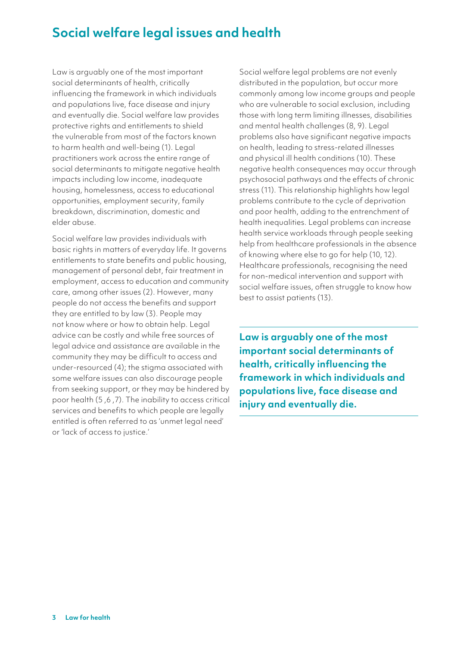# **Social welfare legal issues and health**

Law is arguably one of the most important social determinants of health, critically influencing the framework in which individuals and populations live, face disease and injury and eventually die. Social welfare law provides protective rights and entitlements to shield the vulnerable from most of the factors known to harm health and well-being (1). Legal practitioners work across the entire range of social determinants to mitigate negative health impacts including low income, inadequate housing, homelessness, access to educational opportunities, employment security, family breakdown, discrimination, domestic and elder abuse.

Social welfare law provides individuals with basic rights in matters of everyday life. It governs entitlements to state benefits and public housing, management of personal debt, fair treatment in employment, access to education and community care, among other issues (2). However, many people do not access the benefits and support they are entitled to by law (3). People may not know where or how to obtain help. Legal advice can be costly and while free sources of legal advice and assistance are available in the community they may be difficult to access and under-resourced (4); the stigma associated with some welfare issues can also discourage people from seeking support, or they may be hindered by poor health (5 ,6 ,7). The inability to access critical services and benefits to which people are legally entitled is often referred to as 'unmet legal need' or 'lack of access to justice.'

Social welfare legal problems are not evenly distributed in the population, but occur more commonly among low income groups and people who are vulnerable to social exclusion, including those with long term limiting illnesses, disabilities and mental health challenges (8, 9). Legal problems also have significant negative impacts on health, leading to stress-related illnesses and physical ill health conditions (10). These negative health consequences may occur through psychosocial pathways and the effects of chronic stress (11). This relationship highlights how legal problems contribute to the cycle of deprivation and poor health, adding to the entrenchment of health inequalities. Legal problems can increase health service workloads through people seeking help from healthcare professionals in the absence of knowing where else to go for help (10, 12). Healthcare professionals, recognising the need for non-medical intervention and support with social welfare issues, often struggle to know how best to assist patients (13).

**Law is arguably one of the most important social determinants of health, critically influencing the framework in which individuals and populations live, face disease and injury and eventually die.**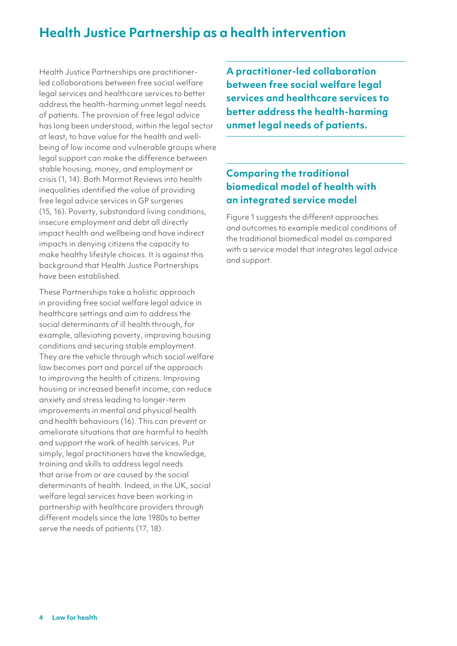# **Health Justice Partnership as a health intervention**

Health Justice Partnerships are practitionerled collaborations between free social welfare legal services and healthcare services to better address the health-harming unmet legal needs of patients. The provision of free legal advice has long been understood, within the legal sector at least, to have value for the health and wellbeing of low income and vulnerable groups where legal support can make the difference between stable housing, money, and employment or crisis (1, 14). Both Marmot Reviews into health inequalities identified the value of providing free legal advice services in GP surgeries (15, 16). Poverty, substandard living conditions, insecure employment and debt all directly impact health and wellbeing and have indirect impacts in denying citizens the capacity to make healthy lifestyle choices. It is against this background that Health Justice Partnerships have been established.

These Partnerships take a holistic approach in providing free social welfare legal advice in healthcare settings and aim to address the social determinants of ill health through, for example, alleviating poverty, improving housing conditions and securing stable employment. They are the vehicle through which social welfare law becomes part and parcel of the approach to improving the health of citizens. Improving housing or increased benefit income, can reduce anxiety and stress leading to longer-term improvements in mental and physical health and health behaviours (16). This can prevent or ameliorate situations that are harmful to health and support the work of health services. Put simply, legal practitioners have the knowledge, training and skills to address legal needs that arise from or are caused by the social determinants of health. Indeed, in the UK, social welfare legal services have been working in partnership with healthcare providers through different models since the late 1980s to better serve the needs of patients (17, 18).

**A practitioner-led collaboration between free social welfare legal services and healthcare services to better address the health-harming unmet legal needs of patients.**

# **Comparing the traditional biomedical model of health with an integrated service model**

Figure 1 suggests the different approaches and outcomes to example medical conditions of the traditional biomedical model as compared with a service model that integrates legal advice and support.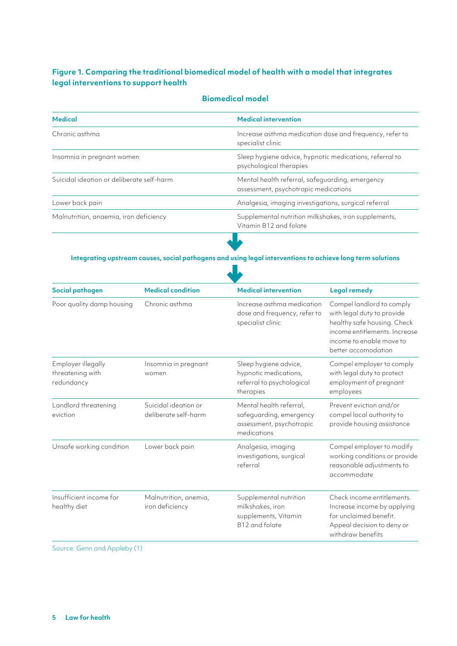# **Figure 1. Comparing the traditional biomedical model of health with a model that integrates legal interventions to support health**

#### **Biomedical model**

| <b>Medical</b>                            | <b>Medical intervention</b>                                                             |  |
|-------------------------------------------|-----------------------------------------------------------------------------------------|--|
| Chronic asthma                            | Increase asthma medication dose and frequency, refer to<br>specialist clinic            |  |
| Insomnia in pregnant women                | Sleep hygiene advice, hypnotic medications, referral to<br>psychological therapies      |  |
| Suicidal ideation or deliberate self-harm | Mental health referral, safeguarding, emergency<br>assessment, psychotropic medications |  |
| Lower back pain                           | Analgesia, imaging investigations, surgical referral                                    |  |
| Malnutrition, anaemia, iron deficiency    | Supplemental nutrition milkshakes, iron supplements,<br>Vitamin B12 and folate          |  |
|                                           |                                                                                         |  |

# **Integrating upstream causes, social pathogens and using legal interventions to achieve long term solutions**  $\sqrt{ }$

| Social pathogen                                      | <b>Medical condition</b>                     | <b>Medical intervention</b>                                                                   | <b>Legal remedy</b>                                                                                                                                                        |
|------------------------------------------------------|----------------------------------------------|-----------------------------------------------------------------------------------------------|----------------------------------------------------------------------------------------------------------------------------------------------------------------------------|
| Poor quality damp housing                            | Chronic asthma                               | Increase asthma medication<br>dose and frequency, refer to<br>specialist clinic               | Compel landlord to comply<br>with legal duty to provide<br>healthy safe housing. Check<br>income entitlements. Increase<br>income to enable move to<br>better accomodation |
| Employer illegally<br>threatening with<br>redundancy | Insomnia in pregnant<br>women                | Sleep hygiene advice,<br>hypnotic medications,<br>referral to psychological<br>therapies      | Compel employer to comply<br>with legal duty to protect<br>employment of pregnant<br>employees                                                                             |
| Landlord threatening<br>eviction                     | Suicidal ideation or<br>deliberate self-harm | Mental health referral,<br>safeguarding, emergency<br>assessment, psychotropic<br>medications | Prevent eviction and/or<br>compel local authority to<br>provide housing assistance                                                                                         |
| Unsafe working condition                             | Lower back pain                              | Analgesia, imaging<br>investigations, surgical<br>referral                                    | Compel employer to modify<br>working conditions or provide<br>reasonable adjustments to<br>accommodate                                                                     |
| Insufficient income for<br>healthy diet              | Malnutrition, anemia,<br>iron deficiency     | Supplemental nutrition<br>milkshakes, iron<br>supplements, Vitamin<br>B12 and folate          | Check income entitlements.<br>Increase income by applying<br>for unclaimed benefit.<br>Appeal decision to deny or<br>withdraw benefits                                     |

Source: Genn and Appleby (1)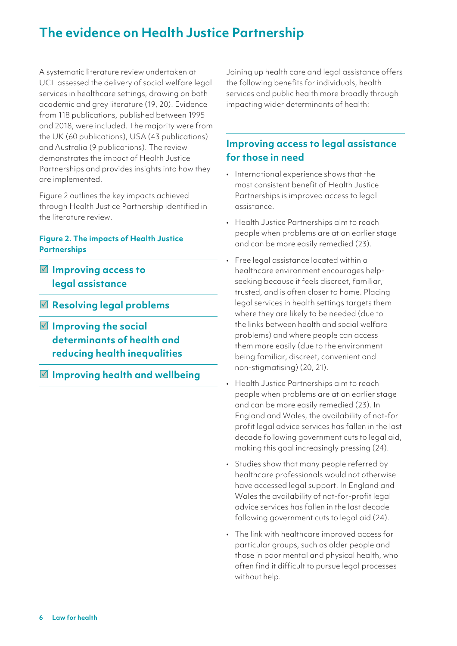# **The evidence on Health Justice Partnership**

A systematic literature review undertaken at UCL assessed the delivery of social welfare legal services in healthcare settings, drawing on both academic and grey literature (19, 20). Evidence from 118 publications, published between 1995 and 2018, were included. The majority were from the UK (60 publications), USA (43 publications) and Australia (9 publications). The review demonstrates the impact of Health Justice Partnerships and provides insights into how they are implemented.

Figure 2 outlines the key impacts achieved through Health Justice Partnership identified in the literature review.

## **Figure 2. The impacts of Health Justice Partnerships**

- **Improving access to legal assistance**
- **Resolving legal problems**
- **Improving the social determinants of health and reducing health inequalities**
- **Improving health and wellbeing**

Joining up health care and legal assistance offers the following benefits for individuals, health services and public health more broadly through impacting wider determinants of health:

# **Improving access to legal assistance for those in need**

- International experience shows that the most consistent benefit of Health Justice Partnerships is improved access to legal assistance.
- Health Justice Partnerships aim to reach people when problems are at an earlier stage and can be more easily remedied (23).
- Free legal assistance located within a healthcare environment encourages helpseeking because it feels discreet, familiar, trusted, and is often closer to home. Placing legal services in health settings targets them where they are likely to be needed (due to the links between health and social welfare problems) and where people can access them more easily (due to the environment being familiar, discreet, convenient and non-stigmatising) (20, 21).
- Health Justice Partnerships aim to reach people when problems are at an earlier stage and can be more easily remedied (23). In England and Wales, the availability of not-for profit legal advice services has fallen in the last decade following government cuts to legal aid, making this goal increasingly pressing (24).
- Studies show that many people referred by healthcare professionals would not otherwise have accessed legal support. In England and Wales the availability of not-for-profit legal advice services has fallen in the last decade following government cuts to legal aid (24).
- The link with healthcare improved access for particular groups, such as older people and those in poor mental and physical health, who often find it difficult to pursue legal processes without help.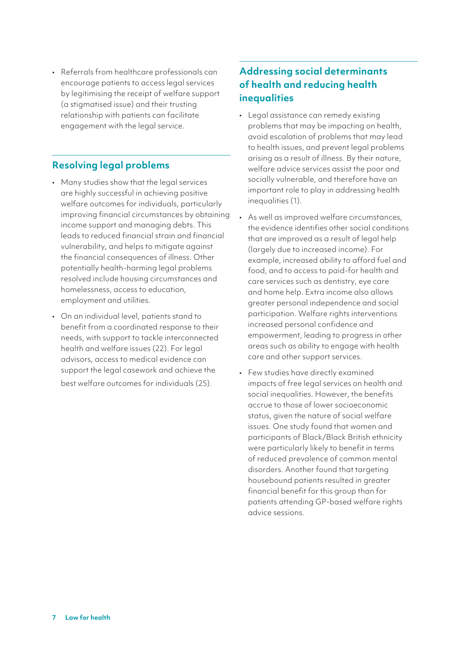• Referrals from healthcare professionals can encourage patients to access legal services by legitimising the receipt of welfare support (a stigmatised issue) and their trusting relationship with patients can facilitate engagement with the legal service.

# **Resolving legal problems**

- Many studies show that the legal services are highly successful in achieving positive welfare outcomes for individuals, particularly improving financial circumstances by obtaining income support and managing debts. This leads to reduced financial strain and financial vulnerability, and helps to mitigate against the financial consequences of illness. Other potentially health-harming legal problems resolved include housing circumstances and homelessness, access to education, employment and utilities.
- On an individual level, patients stand to benefit from a coordinated response to their needs, with support to tackle interconnected health and welfare issues (22). For legal advisors, access to medical evidence can support the legal casework and achieve the best welfare outcomes for individuals (25).

# **Addressing social determinants of health and reducing health inequalities**

- Legal assistance can remedy existing problems that may be impacting on health, avoid escalation of problems that may lead to health issues, and prevent legal problems arising as a result of illness. By their nature, welfare advice services assist the poor and socially vulnerable, and therefore have an important role to play in addressing health inequalities (1).
- As well as improved welfare circumstances, the evidence identifies other social conditions that are improved as a result of legal help (largely due to increased income). For example, increased ability to afford fuel and food, and to access to paid-for health and care services such as dentistry, eye care and home help. Extra income also allows greater personal independence and social participation. Welfare rights interventions increased personal confidence and empowerment, leading to progress in other areas such as ability to engage with health care and other support services.
- Few studies have directly examined impacts of free legal services on health and social inequalities. However, the benefits accrue to those of lower socioeconomic status, given the nature of social welfare issues. One study found that women and participants of Black/Black British ethnicity were particularly likely to benefit in terms of reduced prevalence of common mental disorders. Another found that targeting housebound patients resulted in greater financial benefit for this group than for patients attending GP-based welfare rights advice sessions.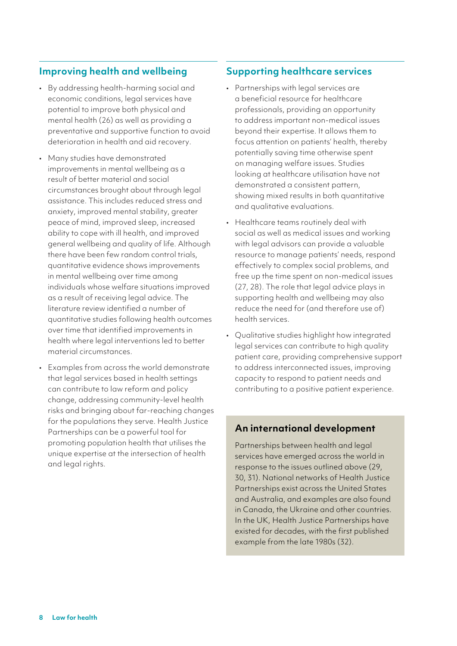# **Improving health and wellbeing**

- By addressing health-harming social and economic conditions, legal services have potential to improve both physical and mental health (26) as well as providing a preventative and supportive function to avoid deterioration in health and aid recovery.
- Many studies have demonstrated improvements in mental wellbeing as a result of better material and social circumstances brought about through legal assistance. This includes reduced stress and anxiety, improved mental stability, greater peace of mind, improved sleep, increased ability to cope with ill health, and improved general wellbeing and quality of life. Although there have been few random control trials, quantitative evidence shows improvements in mental wellbeing over time among individuals whose welfare situations improved as a result of receiving legal advice. The literature review identified a number of quantitative studies following health outcomes over time that identified improvements in health where legal interventions led to better material circumstances.
- Examples from across the world demonstrate that legal services based in health settings can contribute to law reform and policy change, addressing community-level health risks and bringing about far-reaching changes for the populations they serve. Health Justice Partnerships can be a powerful tool for promoting population health that utilises the unique expertise at the intersection of health and legal rights.

## **Supporting healthcare services**

- Partnerships with legal services are a beneficial resource for healthcare professionals, providing an opportunity to address important non-medical issues beyond their expertise. It allows them to focus attention on patients' health, thereby potentially saving time otherwise spent on managing welfare issues. Studies looking at healthcare utilisation have not demonstrated a consistent pattern, showing mixed results in both quantitative and qualitative evaluations.
- Healthcare teams routinely deal with social as well as medical issues and working with legal advisors can provide a valuable resource to manage patients' needs, respond effectively to complex social problems, and free up the time spent on non-medical issues (27, 28). The role that legal advice plays in supporting health and wellbeing may also reduce the need for (and therefore use of) health services.
- Qualitative studies highlight how integrated legal services can contribute to high quality patient care, providing comprehensive support to address interconnected issues, improving capacity to respond to patient needs and contributing to a positive patient experience.

# **An international development**

Partnerships between health and legal services have emerged across the world in response to the issues outlined above (29, 30, 31). National networks of Health Justice Partnerships exist across the United States and Australia, and examples are also found in Canada, the Ukraine and other countries. In the UK, Health Justice Partnerships have existed for decades, with the first published example from the late 1980s (32).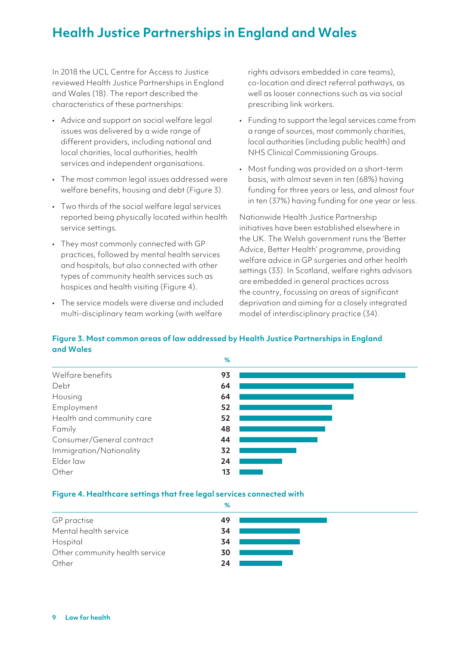# **Health Justice Partnerships in England and Wales**

In 2018 the UCL Centre for Access to Justice reviewed Health Justice Partnerships in England and Wales (18). The report described the characteristics of these partnerships:

- Advice and support on social welfare legal issues was delivered by a wide range of different providers, including national and local charities, local authorities, health services and independent organisations.
- The most common legal issues addressed were welfare benefits, housing and debt (Figure 3).
- Two thirds of the social welfare legal services reported being physically located within health service settings.
- They most commonly connected with GP practices, followed by mental health services and hospitals, but also connected with other types of community health services such as hospices and health visiting (Figure 4).
- The service models were diverse and included multi-disciplinary team working (with welfare

rights advisors embedded in care teams), co-location and direct referral pathways, as well as looser connections such as via social prescribing link workers.

- Funding to support the legal services came from a range of sources, most commonly charities, local authorities (including public health) and NHS Clinical Commissioning Groups.
- Most funding was provided on a short-term basis, with almost seven in ten (68%) having funding for three years or less, and almost four in ten (37%) having funding for one year or less.

Nationwide Health Justice Partnership initiatives have been established elsewhere in the UK. The Welsh government runs the 'Better Advice, Better Health' programme, providing welfare advice in GP surgeries and other health settings (33). In Scotland, welfare rights advisors are embedded in general practices across the country, focussing on areas of significant deprivation and aiming for a closely integrated model of interdisciplinary practice (34).

## **Figure 3. Most common areas of law addressed by Health Justice Partnerships in England and Wales**



#### **Figure 4. Healthcare settings that free legal services connected with**

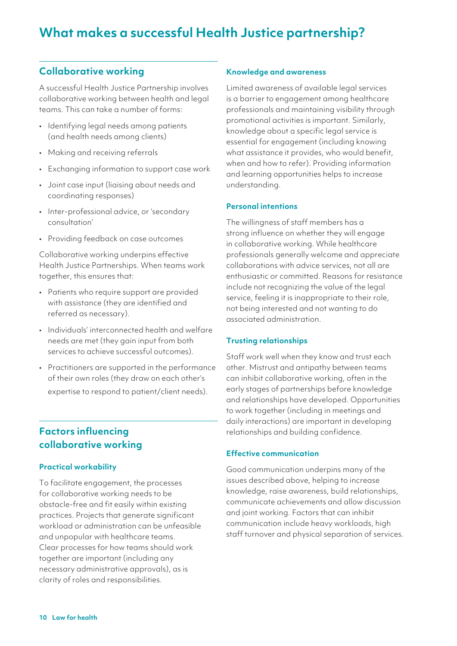# **Collaborative working**

A successful Health Justice Partnership involves collaborative working between health and legal teams. This can take a number of forms:

- Identifying legal needs among patients (and health needs among clients)
- Making and receiving referrals
- Exchanging information to support case work
- Joint case input (liaising about needs and coordinating responses)
- Inter-professional advice, or 'secondary consultation'
- Providing feedback on case outcomes

Collaborative working underpins effective Health Justice Partnerships. When teams work together, this ensures that:

- Patients who require support are provided with assistance (they are identified and referred as necessary).
- Individuals' interconnected health and welfare needs are met (they gain input from both services to achieve successful outcomes).
- Practitioners are supported in the performance of their own roles (they draw on each other's expertise to respond to patient/client needs).

# **Factors influencing collaborative working**

#### **Practical workability**

To facilitate engagement, the processes for collaborative working needs to be obstacle-free and fit easily within existing practices. Projects that generate significant workload or administration can be unfeasible and unpopular with healthcare teams. Clear processes for how teams should work together are important (including any necessary administrative approvals), as is clarity of roles and responsibilities.

#### **Knowledge and awareness**

Limited awareness of available legal services is a barrier to engagement among healthcare professionals and maintaining visibility through promotional activities is important. Similarly, knowledge about a specific legal service is essential for engagement (including knowing what assistance it provides, who would benefit, when and how to refer). Providing information and learning opportunities helps to increase understanding.

#### **Personal intentions**

The willingness of staff members has a strong influence on whether they will engage in collaborative working. While healthcare professionals generally welcome and appreciate collaborations with advice services, not all are enthusiastic or committed. Reasons for resistance include not recognizing the value of the legal service, feeling it is inappropriate to their role, not being interested and not wanting to do associated administration.

#### **Trusting relationships**

Staff work well when they know and trust each other. Mistrust and antipathy between teams can inhibit collaborative working, often in the early stages of partnerships before knowledge and relationships have developed. Opportunities to work together (including in meetings and daily interactions) are important in developing relationships and building confidence.

#### **Effective communication**

Good communication underpins many of the issues described above, helping to increase knowledge, raise awareness, build relationships, communicate achievements and allow discussion and joint working. Factors that can inhibit communication include heavy workloads, high staff turnover and physical separation of services.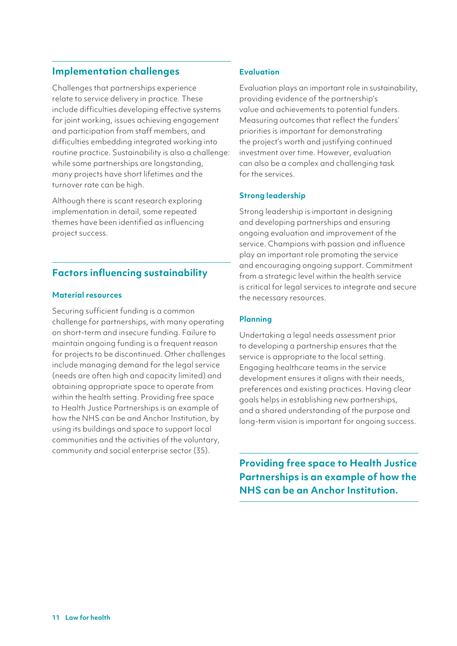# **Implementation challenges**

Challenges that partnerships experience relate to service delivery in practice. These include difficulties developing effective systems for joint working, issues achieving engagement and participation from staff members, and difficulties embedding integrated working into routine practice. Sustainability is also a challenge: while some partnerships are longstanding, many projects have short lifetimes and the turnover rate can be high.

Although there is scant research exploring implementation in detail, some repeated themes have been identified as influencing project success.

# **Factors influencing sustainability**

## **Material resources**

Securing sufficient funding is a common challenge for partnerships, with many operating on short-term and insecure funding. Failure to maintain ongoing funding is a frequent reason for projects to be discontinued. Other challenges include managing demand for the legal service (needs are often high and capacity limited) and obtaining appropriate space to operate from within the health setting. Providing free space to Health Justice Partnerships is an example of how the NHS can be and Anchor Institution, by using its buildings and space to support local communities and the activities of the voluntary, community and social enterprise sector (35).

## **Evaluation**

Evaluation plays an important role in sustainability, providing evidence of the partnership's value and achievements to potential funders. Measuring outcomes that reflect the funders' priorities is important for demonstrating the project's worth and justifying continued investment over time. However, evaluation can also be a complex and challenging task for the services.

## **Strong leadership**

Strong leadership is important in designing and developing partnerships and ensuring ongoing evaluation and improvement of the service. Champions with passion and influence play an important role promoting the service and encouraging ongoing support. Commitment from a strategic level within the health service is critical for legal services to integrate and secure the necessary resources.

# **Planning**

Undertaking a legal needs assessment prior to developing a partnership ensures that the service is appropriate to the local setting. Engaging healthcare teams in the service development ensures it aligns with their needs, preferences and existing practices. Having clear goals helps in establishing new partnerships, and a shared understanding of the purpose and long-term vision is important for ongoing success.

**Providing free space to Health Justice Partnerships is an example of how the NHS can be an Anchor Institution.**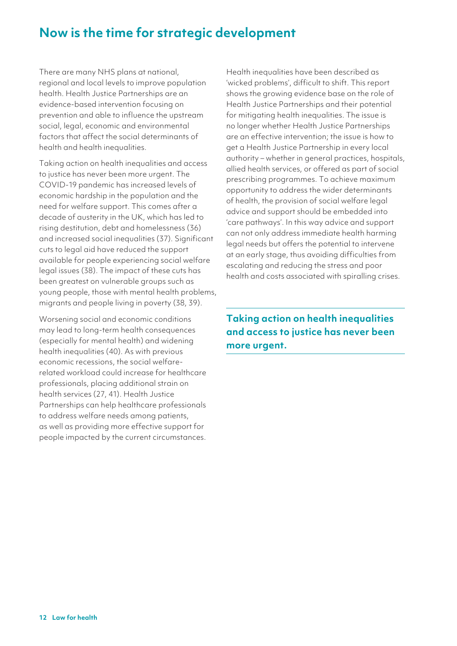# **Now is the time for strategic development**

There are many NHS plans at national, regional and local levels to improve population health. Health Justice Partnerships are an evidence-based intervention focusing on prevention and able to influence the upstream social, legal, economic and environmental factors that affect the social determinants of health and health inequalities.

Taking action on health inequalities and access to justice has never been more urgent. The COVID-19 pandemic has increased levels of economic hardship in the population and the need for welfare support. This comes after a decade of austerity in the UK, which has led to rising destitution, debt and homelessness (36) and increased social inequalities (37). Significant cuts to legal aid have reduced the support available for people experiencing social welfare legal issues (38). The impact of these cuts has been greatest on vulnerable groups such as young people, those with mental health problems, migrants and people living in poverty (38, 39).

Worsening social and economic conditions may lead to long-term health consequences (especially for mental health) and widening health inequalities (40). As with previous economic recessions, the social welfarerelated workload could increase for healthcare professionals, placing additional strain on health services (27, 41). Health Justice Partnerships can help healthcare professionals to address welfare needs among patients, as well as providing more effective support for people impacted by the current circumstances. Health inequalities have been described as 'wicked problems', difficult to shift. This report shows the growing evidence base on the role of Health Justice Partnerships and their potential for mitigating health inequalities. The issue is no longer whether Health Justice Partnerships are an effective intervention; the issue is how to get a Health Justice Partnership in every local authority – whether in general practices, hospitals, allied health services, or offered as part of social prescribing programmes. To achieve maximum opportunity to address the wider determinants of health, the provision of social welfare legal advice and support should be embedded into 'care pathways'. In this way advice and support can not only address immediate health harming legal needs but offers the potential to intervene at an early stage, thus avoiding difficulties from escalating and reducing the stress and poor health and costs associated with spiralling crises.

**Taking action on health inequalities and access to justice has never been more urgent.**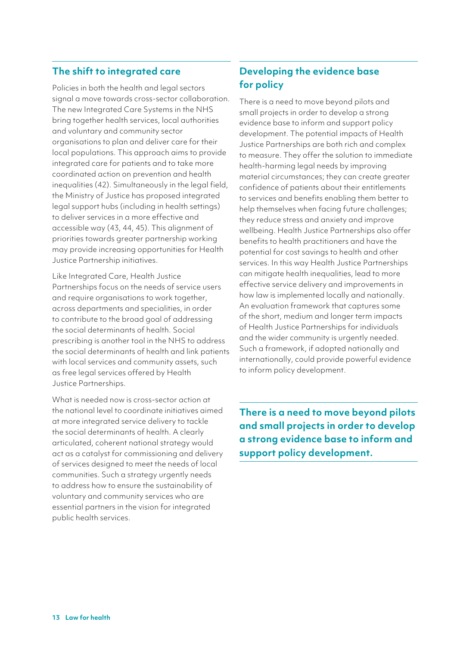# **The shift to integrated care**

Policies in both the health and legal sectors signal a move towards cross-sector collaboration. The new Integrated Care Systems in the NHS bring together health services, local authorities and voluntary and community sector organisations to plan and deliver care for their local populations. This approach aims to provide integrated care for patients and to take more coordinated action on prevention and health inequalities (42). Simultaneously in the legal field, the Ministry of Justice has proposed integrated legal support hubs (including in health settings) to deliver services in a more effective and accessible way (43, 44, 45). This alignment of priorities towards greater partnership working may provide increasing opportunities for Health Justice Partnership initiatives.

Like Integrated Care, Health Justice Partnerships focus on the needs of service users and require organisations to work together, across departments and specialities, in order to contribute to the broad goal of addressing the social determinants of health. Social prescribing is another tool in the NHS to address the social determinants of health and link patients with local services and community assets, such as free legal services offered by Health Justice Partnerships.

What is needed now is cross-sector action at the national level to coordinate initiatives aimed at more integrated service delivery to tackle the social determinants of health. A clearly articulated, coherent national strategy would act as a catalyst for commissioning and delivery of services designed to meet the needs of local communities. Such a strategy urgently needs to address how to ensure the sustainability of voluntary and community services who are essential partners in the vision for integrated public health services.

# **Developing the evidence base for policy**

There is a need to move beyond pilots and small projects in order to develop a strong evidence base to inform and support policy development. The potential impacts of Health Justice Partnerships are both rich and complex to measure. They offer the solution to immediate health-harming legal needs by improving material circumstances; they can create greater confidence of patients about their entitlements to services and benefits enabling them better to help themselves when facing future challenges; they reduce stress and anxiety and improve wellbeing. Health Justice Partnerships also offer benefits to health practitioners and have the potential for cost savings to health and other services. In this way Health Justice Partnerships can mitigate health inequalities, lead to more effective service delivery and improvements in how law is implemented locally and nationally. An evaluation framework that captures some of the short, medium and longer term impacts of Health Justice Partnerships for individuals and the wider community is urgently needed. Such a framework, if adopted nationally and internationally, could provide powerful evidence to inform policy development.

**There is a need to move beyond pilots and small projects in order to develop a strong evidence base to inform and support policy development.**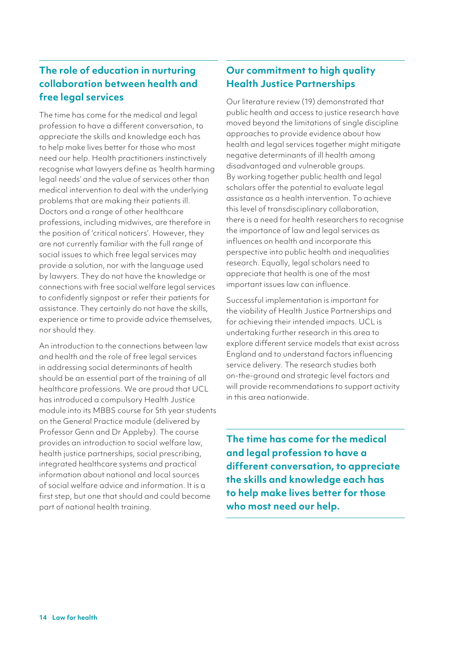# **The role of education in nurturing collaboration between health and free legal services**

The time has come for the medical and legal profession to have a different conversation, to appreciate the skills and knowledge each has to help make lives better for those who most need our help. Health practitioners instinctively recognise what lawyers define as 'health harming legal needs' and the value of services other than medical intervention to deal with the underlying problems that are making their patients ill. Doctors and a range of other healthcare professions, including midwives, are therefore in the position of 'critical noticers'. However, they are not currently familiar with the full range of social issues to which free legal services may provide a solution, nor with the language used by lawyers. They do not have the knowledge or connections with free social welfare legal services to confidently signpost or refer their patients for assistance. They certainly do not have the skills, experience or time to provide advice themselves, nor should they.

An introduction to the connections between law and health and the role of free legal services in addressing social determinants of health should be an essential part of the training of all healthcare professions. We are proud that UCL has introduced a compulsory Health Justice module into its MBBS course for 5th year students on the General Practice module (delivered by Professor Genn and Dr Appleby). The course provides an introduction to social welfare law, health justice partnerships, social prescribing, integrated healthcare systems and practical information about national and local sources of social welfare advice and information. It is a first step, but one that should and could become part of national health training.

# **Our commitment to high quality Health Justice Partnerships**

Our literature review (19) demonstrated that public health and access to justice research have moved beyond the limitations of single discipline approaches to provide evidence about how health and legal services together might mitigate negative determinants of ill health among disadvantaged and vulnerable groups. By working together public health and legal scholars offer the potential to evaluate legal assistance as a health intervention. To achieve this level of transdisciplinary collaboration, there is a need for health researchers to recognise the importance of law and legal services as influences on health and incorporate this perspective into public health and inequalities research. Equally, legal scholars need to appreciate that health is one of the most important issues law can influence.

Successful implementation is important for the viability of Health Justice Partnerships and for achieving their intended impacts. UCL is undertaking further research in this area to explore different service models that exist across England and to understand factors influencing service delivery. The research studies both on-the-ground and strategic level factors and will provide recommendations to support activity in this area nationwide.

**The time has come for the medical and legal profession to have a different conversation, to appreciate the skills and knowledge each has to help make lives better for those who most need our help.**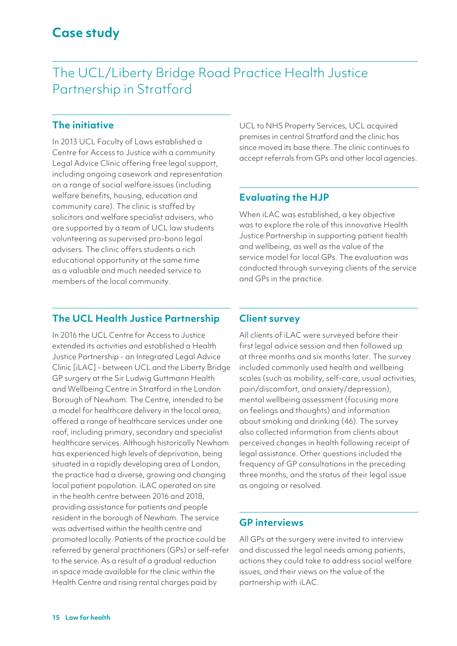# The UCL/Liberty Bridge Road Practice Health Justice Partnership in Stratford

# **The initiative**

In 2013 UCL Faculty of Laws established a Centre for Access to Justice with a community Legal Advice Clinic offering free legal support, including ongoing casework and representation on a range of social welfare issues (including welfare benefits, housing, education and community care). The clinic is staffed by solicitors and welfare specialist advisers, who are supported by a team of UCL law students volunteering as supervised pro-bono legal advisers. The clinic offers students a rich educational opportunity at the same time as a valuable and much needed service to members of the local community.

UCL to NHS Property Services, UCL acquired premises in central Stratford and the clinic has since moved its base there. The clinic continues to accept referrals from GPs and other local agencies.

# **Evaluating the HJP**

When iLAC was established, a key objective was to explore the role of this innovative Health Justice Partnership in supporting patient health and wellbeing, as well as the value of the service model for local GPs. The evaluation was conducted through surveying clients of the service and GPs in the practice.

# **The UCL Health Justice Partnership**

In 2016 the UCL Centre for Access to Justice extended its activities and established a Health Justice Partnership - an Integrated Legal Advice Clinic [iLAC] - between UCL and the Liberty Bridge GP surgery at the Sir Ludwig Guttmann Health and Wellbeing Centre in Stratford in the London Borough of Newham. The Centre, intended to be a model for healthcare delivery in the local area, offered a range of healthcare services under one roof, including primary, secondary and specialist healthcare services. Although historically Newham has experienced high levels of deprivation, being situated in a rapidly developing area of London, the practice had a diverse, growing and changing local patient population. iLAC operated on site in the health centre between 2016 and 2018, providing assistance for patients and people resident in the borough of Newham. The service was advertised within the health centre and promoted locally. Patients of the practice could be referred by general practitioners (GPs) or self-refer to the service. As a result of a gradual reduction in space made available for the clinic within the Health Centre and rising rental charges paid by

# **Client survey**

All clients of iLAC were surveyed before their first legal advice session and then followed up at three months and six months later. The survey included commonly used health and wellbeing scales (such as mobility, self-care, usual activities, pain/discomfort, and anxiety/depression), mental wellbeing assessment (focusing more on feelings and thoughts) and information about smoking and drinking (46). The survey also collected information from clients about perceived changes in health following receipt of legal assistance. Other questions included the frequency of GP consultations in the preceding three months, and the status of their legal issue as ongoing or resolved.

# **GP interviews**

All GPs at the surgery were invited to interview and discussed the legal needs among patients, actions they could take to address social welfare issues, and their views on the value of the partnership with iLAC.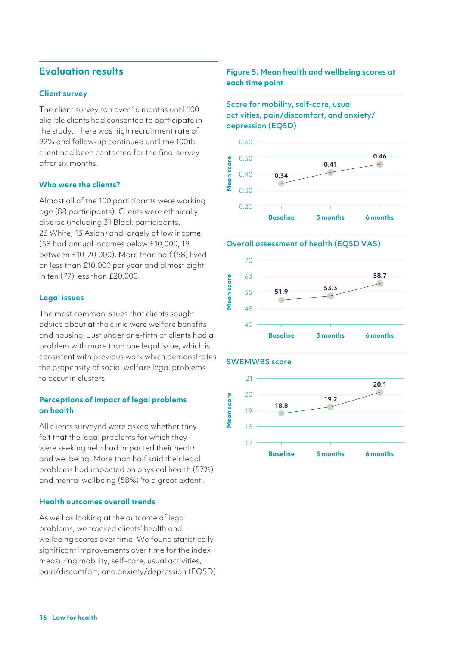# **Evaluation results**

#### **Client survey**

The client survey ran over 16 months until 100 eligible clients had consented to participate in the study. There was high recruitment rate of 92% and follow-up continued until the 100th client had been contacted for the final survey after six months.

#### **Who were the clients?**

Almost all of the 100 participants were working age (88 participants). Clients were ethnically diverse (including 31 Black participants, 23 White, 13 Asian) and largely of low income (58 had annual incomes below £10,000, 19 between £10-20,000). More than half (58) lived on less than £10,000 per year and almost eight in ten (77) less than £20,000.

#### **Legal issues**

The most common issues that clients sought advice about at the clinic were welfare benefits and housing. Just under one-fifth of clients had a problem with more than one legal issue, which is consistent with previous work which demonstrates the propensity of social welfare legal problems to occur in clusters.

## **Perceptions of impact of legal problems on health**

All clients surveyed were asked whether they felt that the legal problems for which they were seeking help had impacted their health and wellbeing. More than half said their legal problems had impacted on physical health (57%) and mental wellbeing (58%) 'to a great extent'.

#### **Health outcomes overall trends**

As well as looking at the outcome of legal problems, we tracked clients' health and wellbeing scores over time. We found statistically significant improvements over time for the index measuring mobility, self-care, usual activities, pain/discomfort, and anxiety/depression (EQ5D)

#### **Figure 5. Mean health and wellbeing scores at each time point**

Score for mobility, self-care, usual activities, pain/discomfort, and anxiety/ depression (EQ5D)



#### Overall assessment of health (EQ5D VAS)



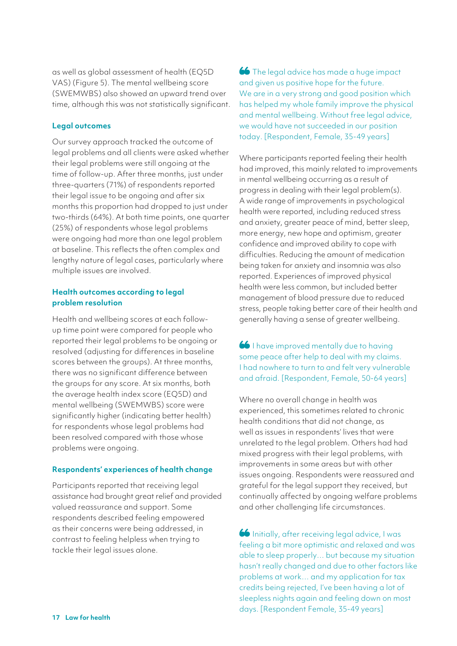as well as global assessment of health (EQ5D VAS) (Figure 5). The mental wellbeing score (SWEMWBS) also showed an upward trend over time, although this was not statistically significant.

#### **Legal outcomes**

Our survey approach tracked the outcome of legal problems and all clients were asked whether their legal problems were still ongoing at the time of follow-up. After three months, just under three-quarters (71%) of respondents reported their legal issue to be ongoing and after six months this proportion had dropped to just under two-thirds (64%). At both time points, one quarter (25%) of respondents whose legal problems were ongoing had more than one legal problem at baseline. This reflects the often complex and lengthy nature of legal cases, particularly where multiple issues are involved.

#### **Health outcomes according to legal problem resolution**

Health and wellbeing scores at each followup time point were compared for people who reported their legal problems to be ongoing or resolved (adjusting for differences in baseline scores between the groups). At three months, there was no significant difference between the groups for any score. At six months, both the average health index score (EQ5D) and mental wellbeing (SWEMWBS) score were significantly higher (indicating better health) for respondents whose legal problems had been resolved compared with those whose problems were ongoing.

#### **Respondents' experiences of health change**

Participants reported that receiving legal assistance had brought great relief and provided valued reassurance and support. Some respondents described feeling empowered as their concerns were being addressed, in contrast to feeling helpless when trying to tackle their legal issues alone.

66 The legal advice has made a huge impact and given us positive hope for the future. We are in a very strong and good position which has helped my whole family improve the physical and mental wellbeing. Without free legal advice, we would have not succeeded in our position today. [Respondent, Female, 35-49 years]

Where participants reported feeling their health had improved, this mainly related to improvements in mental wellbeing occurring as a result of progress in dealing with their legal problem(s). A wide range of improvements in psychological health were reported, including reduced stress and anxiety, greater peace of mind, better sleep, more energy, new hope and optimism, greater confidence and improved ability to cope with difficulties. Reducing the amount of medication being taken for anxiety and insomnia was also reported. Experiences of improved physical health were less common, but included better management of blood pressure due to reduced stress, people taking better care of their health and generally having a sense of greater wellbeing.

I have improved mentally due to having some peace after help to deal with my claims. I had nowhere to turn to and felt very vulnerable and afraid. [Respondent, Female, 50-64 years]

Where no overall change in health was experienced, this sometimes related to chronic health conditions that did not change, as well as issues in respondents' lives that were unrelated to the legal problem. Others had had mixed progress with their legal problems, with improvements in some areas but with other issues ongoing. Respondents were reassured and grateful for the legal support they received, but continually affected by ongoing welfare problems and other challenging life circumstances.

**66** Initially, after receiving legal advice, I was feeling a bit more optimistic and relaxed and was able to sleep properly… but because my situation hasn't really changed and due to other factors like problems at work… and my application for tax credits being rejected, I've been having a lot of sleepless nights again and feeling down on most days. [Respondent Female, 35-49 years]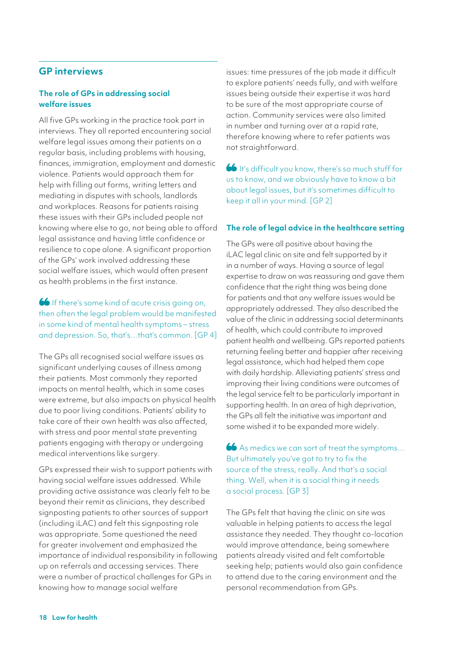# **GP interviews**

### **The role of GPs in addressing social welfare issues**

All five GPs working in the practice took part in interviews. They all reported encountering social welfare legal issues among their patients on a regular basis, including problems with housing, finances, immigration, employment and domestic violence. Patients would approach them for help with filling out forms, writing letters and mediating in disputes with schools, landlords and workplaces. Reasons for patients raising these issues with their GPs included people not knowing where else to go, not being able to afford legal assistance and having little confidence or resilience to cope alone. A significant proportion of the GPs' work involved addressing these social welfare issues, which would often present as health problems in the first instance.

# If there's some kind of acute crisis going on, then often the legal problem would be manifested in some kind of mental health symptoms – stress and depression. So, that's…that's common. [GP 4]

The GPs all recognised social welfare issues as significant underlying causes of illness among their patients. Most commonly they reported impacts on mental health, which in some cases were extreme, but also impacts on physical health due to poor living conditions. Patients' ability to take care of their own health was also affected, with stress and poor mental state preventing patients engaging with therapy or undergoing medical interventions like surgery.

GPs expressed their wish to support patients with having social welfare issues addressed. While providing active assistance was clearly felt to be beyond their remit as clinicians, they described signposting patients to other sources of support (including iLAC) and felt this signposting role was appropriate. Some questioned the need for greater involvement and emphasized the importance of individual responsibility in following up on referrals and accessing services. There were a number of practical challenges for GPs in knowing how to manage social welfare

issues: time pressures of the job made it difficult to explore patients' needs fully, and with welfare issues being outside their expertise it was hard to be sure of the most appropriate course of action. Community services were also limited in number and turning over at a rapid rate, therefore knowing where to refer patients was not straightforward.

It's difficult you know, there's so much stuff for us to know, and we obviously have to know a bit about legal issues, but it's sometimes difficult to keep it all in your mind. [GP 2]

#### **The role of legal advice in the healthcare setting**

The GPs were all positive about having the iLAC legal clinic on site and felt supported by it in a number of ways. Having a source of legal expertise to draw on was reassuring and gave them confidence that the right thing was being done for patients and that any welfare issues would be appropriately addressed. They also described the value of the clinic in addressing social determinants of health, which could contribute to improved patient health and wellbeing. GPs reported patients returning feeling better and happier after receiving legal assistance, which had helped them cope with daily hardship. Alleviating patients' stress and improving their living conditions were outcomes of the legal service felt to be particularly important in supporting health. In an area of high deprivation, the GPs all felt the initiative was important and some wished it to be expanded more widely.

As medics we can sort of treat the symptoms… But ultimately you've got to try to fix the source of the stress, really. And that's a social thing. Well, when it is a social thing it needs a social process. [GP 3]

The GPs felt that having the clinic on site was valuable in helping patients to access the legal assistance they needed. They thought co-location would improve attendance, being somewhere patients already visited and felt comfortable seeking help; patients would also gain confidence to attend due to the caring environment and the personal recommendation from GPs.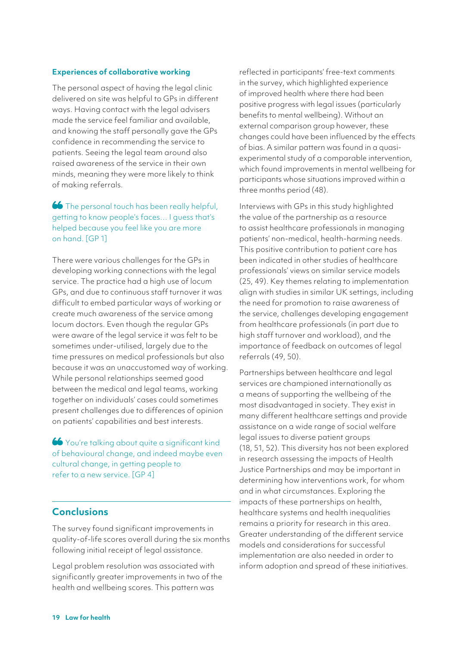#### **Experiences of collaborative working**

The personal aspect of having the legal clinic delivered on site was helpful to GPs in different ways. Having contact with the legal advisers made the service feel familiar and available, and knowing the staff personally gave the GPs confidence in recommending the service to patients. Seeing the legal team around also raised awareness of the service in their own minds, meaning they were more likely to think of making referrals.

## 66 The personal touch has been really helpful. getting to know people's faces… I guess that's helped because you feel like you are more on hand. [GP 1]

There were various challenges for the GPs in developing working connections with the legal service. The practice had a high use of locum GPs, and due to continuous staff turnover it was difficult to embed particular ways of working or create much awareness of the service among locum doctors. Even though the regular GPs were aware of the legal service it was felt to be sometimes under-utilised, largely due to the time pressures on medical professionals but also because it was an unaccustomed way of working. While personal relationships seemed good between the medical and legal teams, working together on individuals' cases could sometimes present challenges due to differences of opinion on patients' capabilities and best interests.

You're talking about quite a significant kind of behavioural change, and indeed maybe even cultural change, in getting people to refer to a new service. [GP 4]

# **Conclusions**

The survey found significant improvements in quality-of-life scores overall during the six months following initial receipt of legal assistance.

Legal problem resolution was associated with significantly greater improvements in two of the health and wellbeing scores. This pattern was

reflected in participants' free-text comments in the survey, which highlighted experience of improved health where there had been positive progress with legal issues (particularly benefits to mental wellbeing). Without an external comparison group however, these changes could have been influenced by the effects of bias. A similar pattern was found in a quasiexperimental study of a comparable intervention, which found improvements in mental wellbeing for participants whose situations improved within a three months period (48).

Interviews with GPs in this study highlighted the value of the partnership as a resource to assist healthcare professionals in managing patients' non-medical, health-harming needs. This positive contribution to patient care has been indicated in other studies of healthcare professionals' views on similar service models (25, 49). Key themes relating to implementation align with studies in similar UK settings, including the need for promotion to raise awareness of the service, challenges developing engagement from healthcare professionals (in part due to high staff turnover and workload), and the importance of feedback on outcomes of legal referrals (49, 50).

Partnerships between healthcare and legal services are championed internationally as a means of supporting the wellbeing of the most disadvantaged in society. They exist in many different healthcare settings and provide assistance on a wide range of social welfare legal issues to diverse patient groups (18, 51, 52). This diversity has not been explored in research assessing the impacts of Health Justice Partnerships and may be important in determining how interventions work, for whom and in what circumstances. Exploring the impacts of these partnerships on health, healthcare systems and health inequalities remains a priority for research in this area. Greater understanding of the different service models and considerations for successful implementation are also needed in order to inform adoption and spread of these initiatives.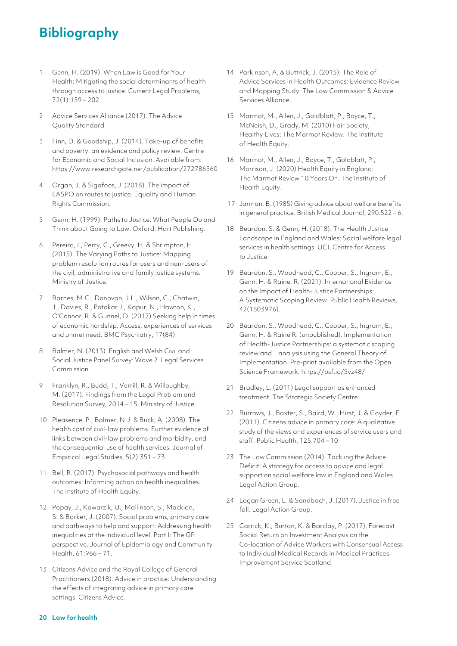# **Bibliography**

- 1 Genn, H. (2019). When Law is Good for Your Health: Mitigating the social determinants of health through access to justice. Current Legal Problems, 72(1):159 – 202.
- 2 Advice Services Alliance (2017). The Advice Quality Standard
- 3 Finn, D. & Goodship, J. (2014). Take-up of benefits and poverty: an evidence and policy review. Centre for Economic and Social Inclusion. Available from: https://www.researchgate.net/publication/272786560
- 4 Organ, J. & Sigafoos, J. (2018). The impact of LASPO on routes to justice. Equality and Human Rights Commission.
- 5 Genn, H. (1999). Paths to Justice: What People Do and Think about Going to Law. Oxford: Hart Publishing.
- 6 Pereira, I., Perry, C., Greevy, H. & Shrimpton, H. (2015). The Varying Paths to Justice: Mapping problem resolution routes for users and non-users of the civil, administrative and family justice systems. Ministry of Justice.
- 7 Barnes, M.C., Donovan, J.L., Wilson, C., Chatwin, J., Davies, R., Potokar J., Kapur, N., Hawton, K., O'Connor, R. & Gunnel, D. (2017) Seeking help in times of economic hardship: Access, experiences of services and unmet need. BMC Psychiatry, 17(84).
- 8 Balmer, N. (2013). English and Welsh Civil and Social Justice Panel Survey: Wave 2. Legal Services Commission.
- 9 Franklyn, R., Budd, T., Verrill, R. & Willoughby, M. (2017). Findings from the Legal Problem and Resolution Survey, 2014 – 15. Ministry of Justice.
- 10 Pleasence, P., Balmer, N.J. & Buck, A. (2008). The health cost of civil-law problems: Further evidence of links between civil-law problems and morbidity, and the consequential use of health services. Journal of Empirical Legal Studies, 5(2):351 – 73
- 11 Bell, R. (2017). Psychosocial pathways and health outcomes: Informing action on health inequalities. The Institute of Health Equity.
- 12 Popay, J., Kowarzik, U., Mallinson, S., Mackian, S. & Barker, J. (2007). Social problems, primary care and pathways to help and support: Addressing health inequalities at the individual level. Part I: The GP perspective. Journal of Epidemiology and Community Health, 61:966 – 71.
- 13 Citizens Advice and the Royal College of General Practitioners (2018). Advice in practice: Understanding the effects of integrating advice in primary care settings. Citizens Advice.
- 14 Parkinson, A. & Buttrick, J. (2015). The Role of Advice Services in Health Outcomes: Evidence Review and Mapping Study. The Low Commission & Advice Services Alliance.
- 15 Marmot, M., Allen, J., Goldblatt, P., Boyce, T., McNeish, D., Grady, M. (2010) Fair Society, Healthy Lives: The Marmot Review. The Institute of Health Equity.
- 16 Marmot, M., Allen, J., Boyce, T., Goldblatt, P., Morrison, J. (2020) Health Equity in England: The Marmot Review 10 Years On. The Institute of Health Equity.
- 17 Jarman, B. (1985) Giving advice about welfare benefits in general practice. British Medical Journal, 290:522 – 6.
- 18 Beardon, S. & Genn, H. (2018). The Health Justice Landscape in England and Wales: Social welfare legal services in health settings. UCL Centre for Access to Justice.
- 19 Beardon, S., Woodhead, C., Cooper, S., Ingram, E., Genn, H. & Raine, R. (2021). International Evidence on the Impact of Health-Justice Partnerships: A Systematic Scoping Review. Public Health Reviews, 42(1603976).
- 20 Beardon, S., Woodhead, C., Cooper, S., Ingram, E., Genn, H. & Raine R. (unpublished). Implementation of Health-Justice Partnerships: a systematic scoping review and analysis using the General Theory of Implementation. Pre-print available from the Open Science Framework: https://osf.io/5vz48/
- 21 Bradley, L. (2011) Legal support as enhanced treatment. The Strategic Society Centre
- 22 Burrows, J., Baxter, S., Baird, W., Hirst, J. & Goyder, E. (2011). Citizens advice in primary care: A qualitative study of the views and experiences of service users and staff. Public Health, 125:704 – 10
- 23 The Low Commission (2014). Tackling the Advice Deficit: A strategy for access to advice and legal support on social welfare law in England and Wales. Legal Action Group.
- 24 Logan Green, L. & Sandbach, J. (2017). Justice in free fall. Legal Action Group.
- 25 Carrick, K., Burton, K. & Barclay, P. (2017). Forecast Social Return on Investment Analysis on the Co-location of Advice Workers with Consensual Access to Individual Medical Records in Medical Practices. Improvement Service Scotland.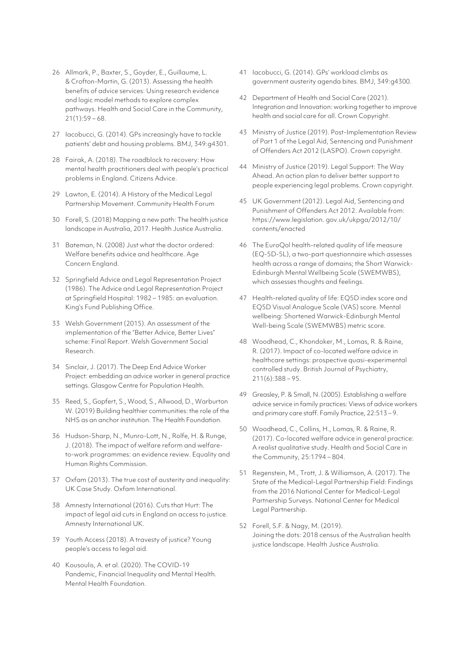- 26 Allmark, P., Baxter, S., Goyder, E., Guillaume, L. & Crofton-Martin, G. (2013). Assessing the health benefits of advice services: Using research evidence and logic model methods to explore complex pathways. Health and Social Care in the Community,  $21(1):59-68.$
- 27 Iacobucci, G. (2014). GPs increasingly have to tackle patients' debt and housing problems. BMJ, 349:g4301.
- 28 Fairak, A. (2018). The roadblock to recovery: How mental health practitioners deal with people's practical problems in England. Citizens Advice.
- 29 Lawton, E. (2014). A History of the Medical Legal Partnership Movement. Community Health Forum
- 30 Forell, S. (2018) Mapping a new path: The health justice landscape in Australia, 2017. Health Justice Australia.
- 31 Bateman, N. (2008) Just what the doctor ordered: Welfare benefits advice and healthcare. Age Concern England.
- 32 Springfield Advice and Legal Representation Project (1986). The Advice and Legal Representation Project at Springfield Hospital: 1982 – 1985: an evaluation. King's Fund Publishing Office.
- 33 Welsh Government (2015). An assessment of the implementation of the "Better Advice, Better Lives" scheme: Final Report. Welsh Government Social Research.
- 34 Sinclair, J. (2017). The Deep End Advice Worker Project: embedding an advice worker in general practice settings. Glasgow Centre for Population Health.
- 35 Reed, S., Gopfert, S., Wood, S., Allwood, D., Warburton W. (2019) Building healthier communities: the role of the NHS as an anchor institution. The Health Foundation.
- 36 Hudson-Sharp, N., Munro-Lott, N., Rolfe, H. & Runge, J. (2018). The impact of welfare reform and welfareto-work programmes: an evidence review. Equality and Human Rights Commission.
- 37 Oxfam (2013). The true cost of austerity and inequality: UK Case Study. Oxfam International.
- 38 Amnesty International (2016). Cuts that Hurt: The impact of legal aid cuts in England on access to justice. Amnesty International UK.
- 39 Youth Access (2018). A travesty of justice? Young people's access to legal aid.
- 40 Kousoulis, A. et al. (2020). The COVID-19 Pandemic, Financial Inequality and Mental Health. Mental Health Foundation.
- 41 Iacobucci, G. (2014). GPs' workload climbs as government austerity agenda bites. BMJ, 349:g4300.
- 42 Department of Health and Social Care (2021). Integration and Innovation: working together to improve health and social care for all. Crown Copyright.
- 43 Ministry of Justice (2019). Post-Implementation Review of Part 1 of the Legal Aid, Sentencing and Punishment of Offenders Act 2012 (LASPO). Crown copyright.
- 44 Ministry of Justice (2019). Legal Support: The Way Ahead. An action plan to deliver better support to people experiencing legal problems. Crown copyright.
- 45 UK Government (2012). Legal Aid, Sentencing and Punishment of Offenders Act 2012. Available from: https://www.legislation. gov.uk/ukpga/2012/10/ contents/enacted
- 46 The EuroQol health-related quality of life measure (EQ-5D-5L), a two-part questionnaire which assesses health across a range of domains; the Short Warwick-Edinburgh Mental Wellbeing Scale (SWEMWBS), which assesses thoughts and feelings.
- 47 Health-related quality of life: EQ5D index score and EQ5D Visual Analogue Scale (VAS) score. Mental wellbeing: Shortened Warwick-Edinburgh Mental Well-being Scale (SWEMWBS) metric score.
- 48 Woodhead, C., Khondoker, M., Lomas, R. & Raine, R. (2017). Impact of co-located welfare advice in healthcare settings: prospective quasi-experimental controlled study. British Journal of Psychiatry, 211(6):388 – 95.
- 49 Greasley, P. & Small, N. (2005). Establishing a welfare advice service in family practices: Views of advice workers and primary care staff. Family Practice, 22:513 – 9.
- 50 Woodhead, C., Collins, H., Lomas, R. & Raine, R. (2017). Co-located welfare advice in general practice: A realist qualitative study. Health and Social Care in the Community, 25:1794 – 804.
- 51 Regenstein, M., Trott, J. & Williamson, A. (2017). The State of the Medical-Legal Partnership Field: Findings from the 2016 National Center for Medical-Legal Partnership Surveys. National Center for Medical Legal Partnership.
- 52 Forell, S.F. & Nagy, M. (2019). Joining the dots: 2018 census of the Australian health justice landscape. Health Justice Australia.